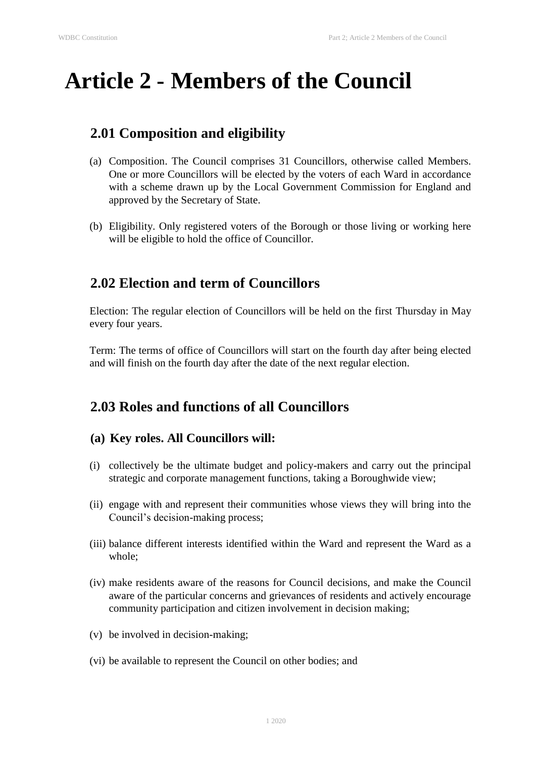# **Article 2 - Members of the Council**

# **2.01 Composition and eligibility**

- (a) Composition. The Council comprises 31 Councillors, otherwise called Members. One or more Councillors will be elected by the voters of each Ward in accordance with a scheme drawn up by the Local Government Commission for England and approved by the Secretary of State.
- (b) Eligibility. Only registered voters of the Borough or those living or working here will be eligible to hold the office of Councillor.

# **2.02 Election and term of Councillors**

Election: The regular election of Councillors will be held on the first Thursday in May every four years.

Term: The terms of office of Councillors will start on the fourth day after being elected and will finish on the fourth day after the date of the next regular election.

# **2.03 Roles and functions of all Councillors**

#### **(a) Key roles. All Councillors will:**

- (i) collectively be the ultimate budget and policy-makers and carry out the principal strategic and corporate management functions, taking a Boroughwide view;
- (ii) engage with and represent their communities whose views they will bring into the Council's decision-making process;
- (iii) balance different interests identified within the Ward and represent the Ward as a whole;
- (iv) make residents aware of the reasons for Council decisions, and make the Council aware of the particular concerns and grievances of residents and actively encourage community participation and citizen involvement in decision making;
- (v) be involved in decision-making;
- (vi) be available to represent the Council on other bodies; and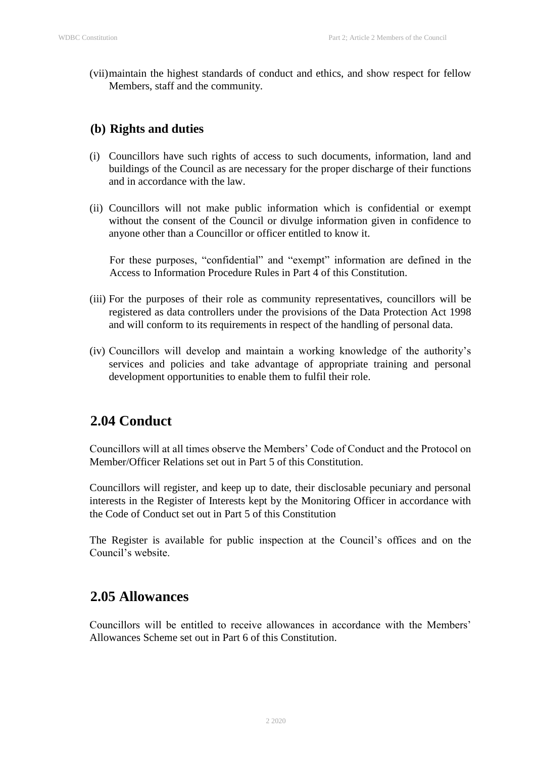(vii)maintain the highest standards of conduct and ethics, and show respect for fellow Members, staff and the community.

#### **(b) Rights and duties**

- (i) Councillors have such rights of access to such documents, information, land and buildings of the Council as are necessary for the proper discharge of their functions and in accordance with the law.
- (ii) Councillors will not make public information which is confidential or exempt without the consent of the Council or divulge information given in confidence to anyone other than a Councillor or officer entitled to know it.

For these purposes, "confidential" and "exempt" information are defined in the Access to Information Procedure Rules in Part 4 of this Constitution.

- (iii) For the purposes of their role as community representatives, councillors will be registered as data controllers under the provisions of the Data Protection Act 1998 and will conform to its requirements in respect of the handling of personal data.
- (iv) Councillors will develop and maintain a working knowledge of the authority's services and policies and take advantage of appropriate training and personal development opportunities to enable them to fulfil their role.

## **2.04 Conduct**

Councillors will at all times observe the Members' Code of Conduct and the Protocol on Member/Officer Relations set out in Part 5 of this Constitution.

Councillors will register, and keep up to date, their disclosable pecuniary and personal interests in the Register of Interests kept by the Monitoring Officer in accordance with the Code of Conduct set out in Part 5 of this Constitution

The Register is available for public inspection at the Council's offices and on the Council's website.

## **2.05 Allowances**

Councillors will be entitled to receive allowances in accordance with the Members' Allowances Scheme set out in Part 6 of this Constitution.